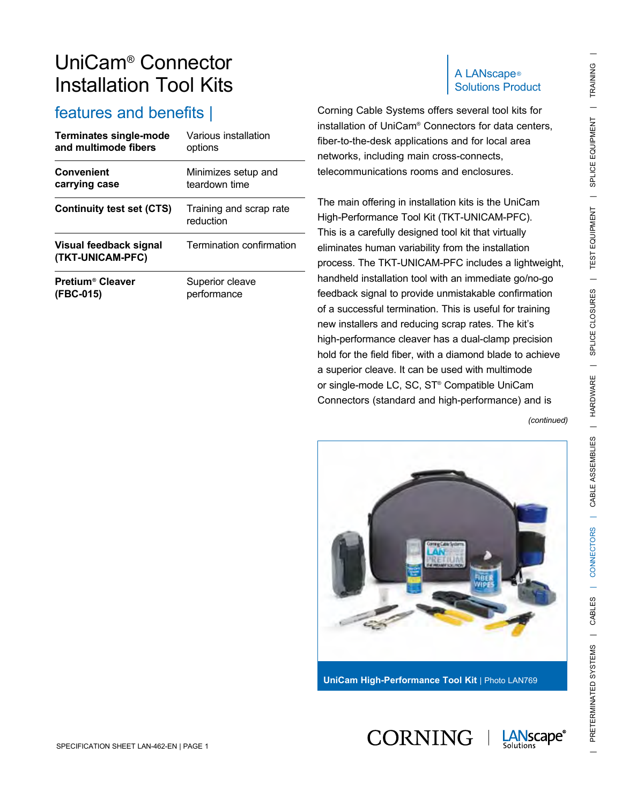#### features and benefits |

| <b>Terminates single-mode</b><br>and multimode fibers | Various installation<br>options<br>Minimizes setup and<br>teardown time |  |  |
|-------------------------------------------------------|-------------------------------------------------------------------------|--|--|
| <b>Convenient</b><br>carrying case                    |                                                                         |  |  |
| <b>Continuity test set (CTS)</b>                      | Training and scrap rate<br>reduction                                    |  |  |
| Visual feedback signal<br>(TKT-UNICAM-PFC)            | Termination confirmation                                                |  |  |
| Pretium <sup>®</sup> Cleaver<br>(FBC-015)             | Superior cleave<br>performance                                          |  |  |

# Solutions Product

Corning Cable Systems offers several tool kits for installation of UniCam® Connectors for data centers, fiber-to-the-desk applications and for local area networks, including main cross-connects, telecommunications rooms and enclosures.

The main offering in installation kits is the UniCam High-Performance Tool Kit (TKT-UNICAM-PFC). This is a carefully designed tool kit that virtually eliminates human variability from the installation process. The TKT-UNICAM-PFC includes a lightweight, handheld installation tool with an immediate go/no-go feedback signal to provide unmistakable confirmation of a successful termination. This is useful for training new installers and reducing scrap rates. The kit's high-performance cleaver has a dual-clamp precision hold for the field fiber, with a diamond blade to achieve a superior cleave. It can be used with multimode or single-mode LC, SC, ST® Compatible UniCam Connectors (standard and high-performance) and is

*(continued)*



**UniCam High-Performance Tool Kit** | Photo LAN769



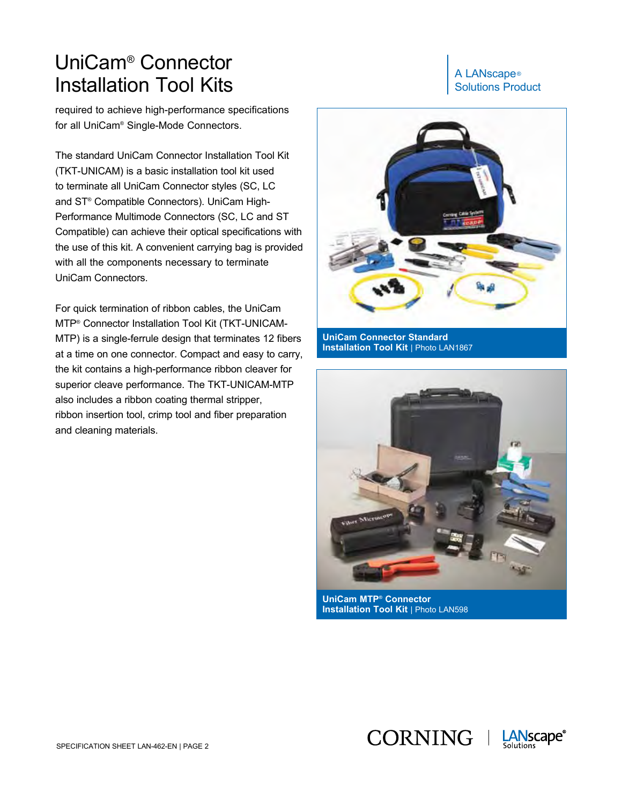required to achieve high-performance specifications for all UniCam® Single-Mode Connectors.

The standard UniCam Connector Installation Tool Kit (TKT-UNICAM) is a basic installation tool kit used to terminate all UniCam Connector styles (SC, LC and ST® Compatible Connectors). UniCam High-Performance Multimode Connectors (SC, LC and ST Compatible) can achieve their optical specifications with the use of this kit. A convenient carrying bag is provided with all the components necessary to terminate UniCam Connectors.

For quick termination of ribbon cables, the UniCam MTP® Connector Installation Tool Kit (TKT-UNICAM-MTP) is a single-ferrule design that terminates 12 fibers at a time on one connector. Compact and easy to carry, the kit contains a high-performance ribbon cleaver for superior cleave performance. The TKT-UNICAM-MTP also includes a ribbon coating thermal stripper, ribbon insertion tool, crimp tool and fiber preparation and cleaning materials.

# Solutions Product



**UniCam Connector Standard Installation Tool Kit** | Photo LAN1867



**UniCam MTP® Connector Installation Tool Kit** | Photo LAN598



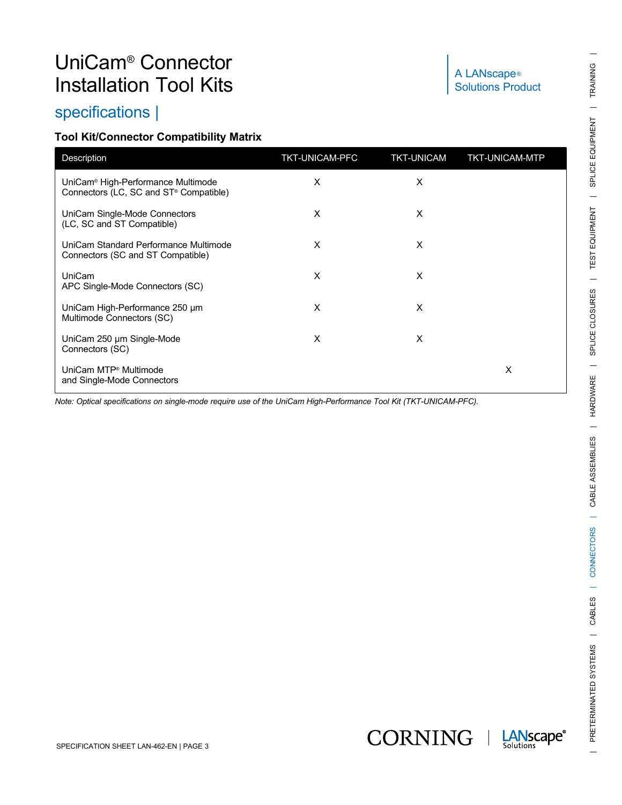#### specifications |

#### **Tool Kit/Connector Compatibility Matrix**

| <b>Description</b>                                                                       | <b>TKT-UNICAM-PFC</b> | <b>TKT-UNICAM</b> | <b>TKT-UNICAM-MTP</b> |
|------------------------------------------------------------------------------------------|-----------------------|-------------------|-----------------------|
| UniCam <sup>®</sup> High-Performance Multimode<br>Connectors (LC, SC and ST® Compatible) | X                     | X                 |                       |
| UniCam Single-Mode Connectors<br>(LC, SC and ST Compatible)                              | X                     | X                 |                       |
| UniCam Standard Performance Multimode<br>Connectors (SC and ST Compatible)               | X                     | X                 |                       |
| <b>UniCam</b><br>APC Single-Mode Connectors (SC)                                         | X                     | X                 |                       |
| UniCam High-Performance 250 µm<br>Multimode Connectors (SC)                              | X                     | X                 |                       |
| UniCam 250 µm Single-Mode<br>Connectors (SC)                                             | X                     | X                 |                       |
| UniCam MTP <sup>®</sup> Multimode<br>and Single-Mode Connectors                          |                       |                   | X                     |

*Note: Optical specifications on single-mode require use of the UniCam High-Performance Tool Kit (TKT-UNICAM-PFC).*

# Solutions Product





 $\overline{\phantom{0}}$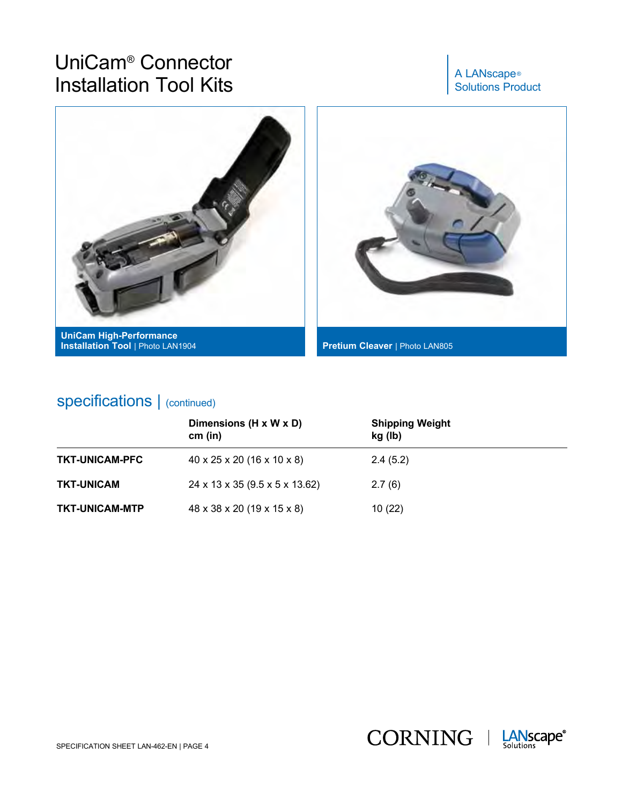## Solutions Product



### specifications | (continued)

|                       | Dimensions (H x W x D)<br>cm (in)      | <b>Shipping Weight</b><br>kg (lb) |
|-----------------------|----------------------------------------|-----------------------------------|
| <b>TKT-UNICAM-PFC</b> | $40 \times 25 \times 20$ (16 x 10 x 8) | 2.4(5.2)                          |
| <b>TKT-UNICAM</b>     | 24 x 13 x 35 (9.5 x 5 x 13.62)         | 2.7(6)                            |
| <b>TKT-UNICAM-MTP</b> | 48 x 38 x 20 (19 x 15 x 8)             | 10(22)                            |



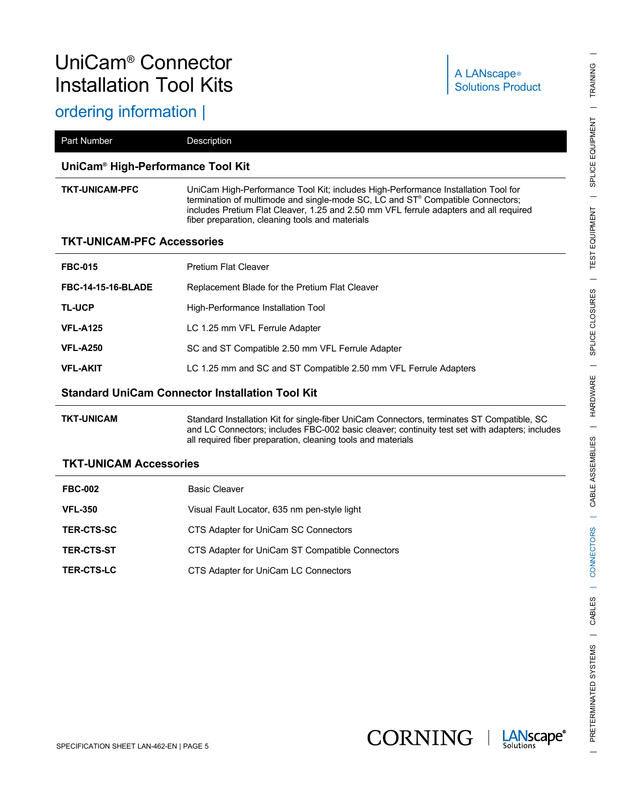### ordering information |

| Part Number                                            | Description                                                                                                                                                                                                                                                                                                     |  |  |
|--------------------------------------------------------|-----------------------------------------------------------------------------------------------------------------------------------------------------------------------------------------------------------------------------------------------------------------------------------------------------------------|--|--|
| UniCam® High-Performance Tool Kit                      |                                                                                                                                                                                                                                                                                                                 |  |  |
| <b>TKT-UNICAM-PFC</b>                                  | UniCam High-Performance Tool Kit; includes High-Performance Installation Tool for<br>termination of multimode and single-mode SC, LC and ST® Compatible Connectors;<br>includes Pretium Flat Cleaver, 1.25 and 2.50 mm VFL ferrule adapters and all required<br>fiber preparation, cleaning tools and materials |  |  |
| <b>TKT-UNICAM-PFC Accessories</b>                      |                                                                                                                                                                                                                                                                                                                 |  |  |
| <b>FBC-015</b>                                         | <b>Pretium Flat Cleaver</b>                                                                                                                                                                                                                                                                                     |  |  |
| <b>FBC-14-15-16-BLADE</b>                              | Replacement Blade for the Pretium Flat Cleaver                                                                                                                                                                                                                                                                  |  |  |
| <b>TL-UCP</b>                                          | High-Performance Installation Tool                                                                                                                                                                                                                                                                              |  |  |
| <b>VFL-A125</b>                                        | LC 1.25 mm VFL Ferrule Adapter                                                                                                                                                                                                                                                                                  |  |  |
| <b>VFL-A250</b>                                        | SC and ST Compatible 2.50 mm VFL Ferrule Adapter                                                                                                                                                                                                                                                                |  |  |
| <b>VFL-AKIT</b>                                        | LC 1.25 mm and SC and ST Compatible 2.50 mm VFL Ferrule Adapters                                                                                                                                                                                                                                                |  |  |
| <b>Standard UniCam Connector Installation Tool Kit</b> |                                                                                                                                                                                                                                                                                                                 |  |  |
| <b>TKT-UNICAM</b>                                      | Standard Installation Kit for single-fiber UniCam Connectors, terminates ST Compatible, SC<br>and LC Connectors; includes FBC-002 basic cleaver; continuity test set with adapters; includes<br>all required fiber preparation, cleaning tools and materials                                                    |  |  |

#### **TKT-UNICAM Accessories**

| <b>FBC-002</b>    | <b>Basic Cleaver</b>                            |
|-------------------|-------------------------------------------------|
| <b>VFL-350</b>    | Visual Fault Locator, 635 nm pen-style light    |
| <b>TER-CTS-SC</b> | CTS Adapter for UniCam SC Connectors            |
| <b>TER-CTS-ST</b> | CTS Adapter for UniCam ST Compatible Connectors |
| <b>TER-CTS-LC</b> | CTS Adapter for UniCam LC Connectors            |







 $\overline{a}$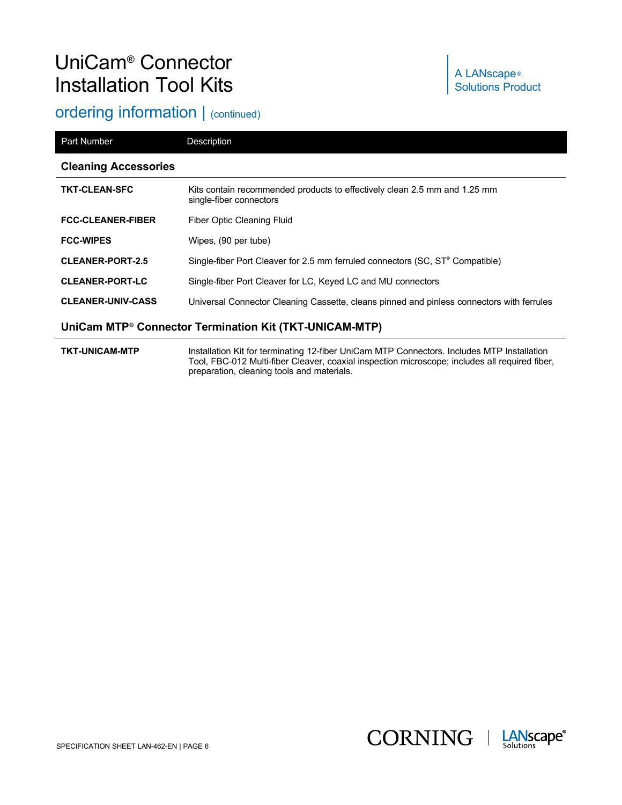### ordering information | (continued)

| Part Number                                                        | Description                                                                                          |  |
|--------------------------------------------------------------------|------------------------------------------------------------------------------------------------------|--|
| <b>Cleaning Accessories</b>                                        |                                                                                                      |  |
| <b>TKT-CLEAN-SFC</b>                                               | Kits contain recommended products to effectively clean 2.5 mm and 1.25 mm<br>single-fiber connectors |  |
| <b>FCC-CLEANER-FIBER</b>                                           | Fiber Optic Cleaning Fluid                                                                           |  |
| <b>FCC-WIPES</b>                                                   | Wipes, (90 per tube)                                                                                 |  |
| <b>CLEANER-PORT-2.5</b>                                            | Single-fiber Port Cleaver for 2.5 mm ferruled connectors (SC, ST <sup>®</sup> Compatible)            |  |
| <b>CLEANER-PORT-LC</b>                                             | Single-fiber Port Cleaver for LC, Keyed LC and MU connectors                                         |  |
| <b>CLEANER-UNIV-CASS</b>                                           | Universal Connector Cleaning Cassette, cleans pinned and pinless connectors with ferrules            |  |
| UniCam MTP <sup>®</sup> Connector Termination Kit (TKT-UNICAM-MTP) |                                                                                                      |  |

**TKT-UNICAM-MTP** Installation Kit for terminating 12-fiber UniCam MTP Connectors. Includes MTP Installation Tool, FBC-012 Multi-fiber Cleaver, coaxial inspection microscope; includes all required fiber, preparation, cleaning tools and materials.



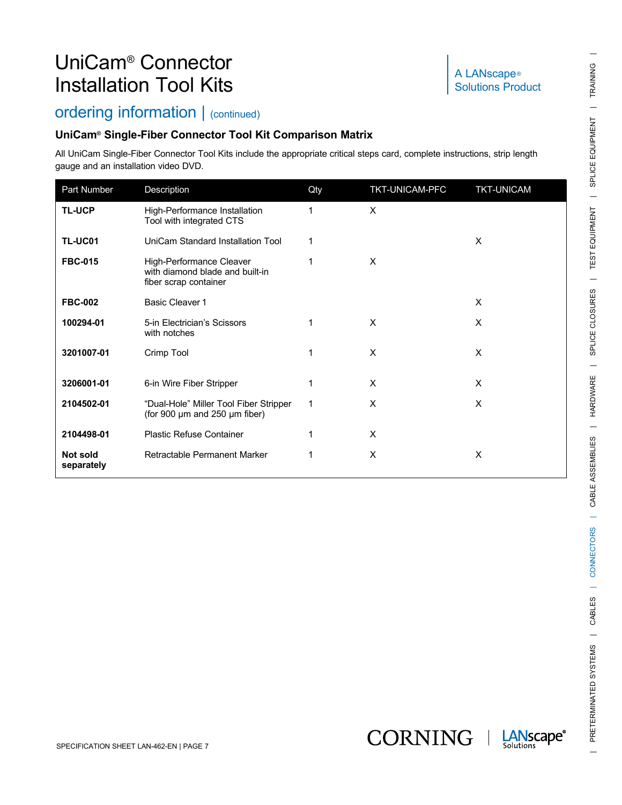#### ordering information | (continued)

#### **UniCam® Single-Fiber Connector Tool Kit Comparison Matrix**

All UniCam Single-Fiber Connector Tool Kits include the appropriate critical steps card, complete instructions, strip length gauge and an installation video DVD.

| Part Number            | Description                                                                          | Qty         | TKT-UNICAM-PFC | <b>TKT-UNICAM</b> |
|------------------------|--------------------------------------------------------------------------------------|-------------|----------------|-------------------|
| <b>TL-UCP</b>          | High-Performance Installation<br>Tool with integrated CTS                            | 1           | X              |                   |
| TL-UC01                | UniCam Standard Installation Tool                                                    | 1           |                | X                 |
| <b>FBC-015</b>         | High-Performance Cleaver<br>with diamond blade and built-in<br>fiber scrap container |             | X              |                   |
| <b>FBC-002</b>         | Basic Cleaver 1                                                                      |             |                | X                 |
| 100294-01              | 5-in Electrician's Scissors<br>with notches                                          |             | X              | X                 |
| 3201007-01             | Crimp Tool                                                                           | $\mathbf 1$ | X              | X                 |
| 3206001-01             | 6-in Wire Fiber Stripper                                                             | 1           | X              | X                 |
| 2104502-01             | "Dual-Hole" Miller Tool Fiber Stripper<br>(for 900 $\mu$ m and 250 $\mu$ m fiber)    | 1           | X              | X                 |
| 2104498-01             | <b>Plastic Refuse Container</b>                                                      |             | X              |                   |
| Not sold<br>separately | Retractable Permanent Marker                                                         | 1           | X              | X                 |





**LANscape** Solutions